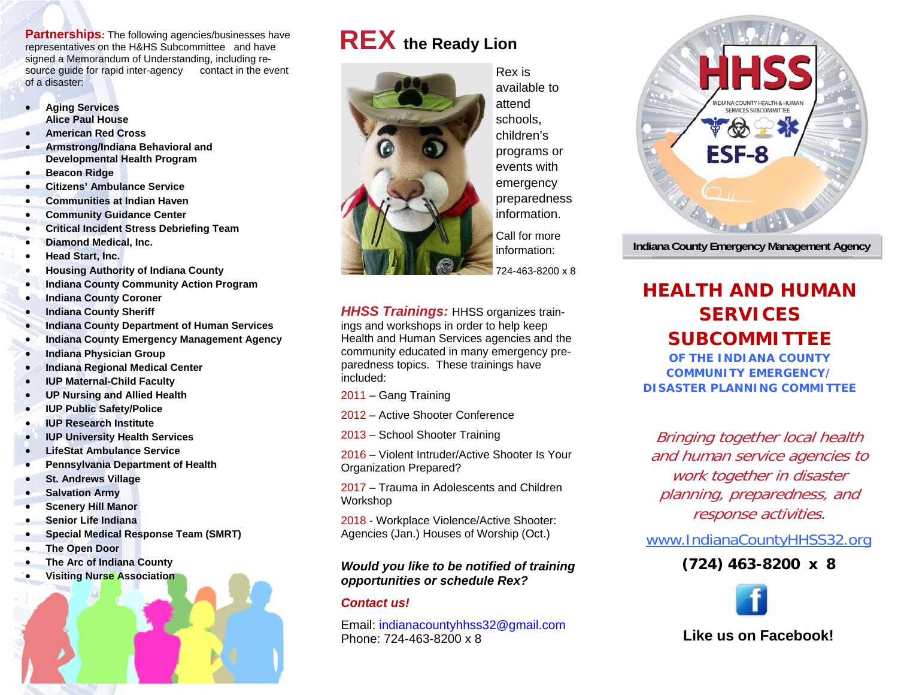**Partnerships***:* The following agencies/businesses have representatives on the H&HS Subcommittee and have signed a Memorandum of Understanding, including resource guide for rapid inter-agency contact in the event of a disaster:

- $\bullet$  **Aging Services Alice Paul House**
- $\bullet$ **American Red Cross**
- $\bullet$  **Armstrong/Indiana Behavioral and Developmental Health Program**
- $\bullet$ **Beacon Ridge**
- $\bullet$ **Citizens' Ambulance Service**
- $\bullet$ **Communities at Indian Haven**
- $\bullet$ **Community Guidance Center**
- $\bullet$ **Critical Incident Stress Debriefing Team**
- $\bullet$ **Diamond Medical, Inc.**
- $\bullet$ **Head Start, Inc.**
- $\bullet$ **Housing Authority of Indiana County**
- $\bullet$ **Indiana County Community Action Program**
- $\bullet$ **Indiana County Coroner**
- $\bullet$ **Indiana County Sheriff**
- $\bullet$ **Indiana County Department of Human Services**
- $\bullet$ **Indiana County Emergency Management Agency**
- $\bullet$ **Indiana Physician Group**
- $\bullet$ **Indiana Regional Medical Center**
- $\bullet$ **IUP Maternal-Child Faculty**
- $\bullet$ **UP Nursing and Allied Health**
- $\bullet$ **IUP Public Safety/Police**
- $\bullet$ **IUP Research Institute**
- $\bullet$ **IUP University Health Services**
- $\bullet$ **LifeStat Ambulance Service**
- $\bullet$ **Pennsylvania Department of Health**
- $\bullet$ **St. Andrews Village**
- $\bullet$ **Salvation Army**
- $\bullet$ **Scenery Hill Manor**
- $\bullet$ **Senior Life Indiana**
- $\bullet$ **Special Medical Response Team (SMRT)**
- $\bullet$ **The Open Door**
- $\bullet$ **The Arc of Indiana County**
- $\bullet$ **Visiting Nurse Association**

# **REX the Ready Lion**



Rex is available to attend schools, children's programs or events with emergency preparedness information.

Call for more information: 724-463-8200 x 8

**HHSS Trainings: HHSS organizes train**ings and workshops in order to help keep Health and Human Services agencies and the community educated in many emergency preparedness topics. These trainings have included:

2011 – Gang Training

2012 – Active Shooter Conference

2013 – School Shooter Training

2016 – Violent Intruder/Active Shooter Is Your Organization Prepared?

2017 – Trauma in Adolescents and Children Workshop

2018 - Workplace Violence/Active Shooter: Agencies (Jan.) Houses of Worship (Oct.)

#### *Would you like to be notified of training opportunities or schedule Rex?*

#### *Contact us!*

Email: indianacountyhhss32@gmail.com Phone: 724-463-8200 x 8



**Indiana County Emergency Management Agency** 

## **HEALTH AND HUMAN SERVICES SUBCOMMITTEE**

**OF THE INDIANA COUNTY COMMUNITY EMERGENCY/DISASTER PLANNING COMMITTEE** 

Bringing together local health and human service agencies to work together in disaster planning, preparedness, and response activities.

www.IndianaCountyHHSS32.org

### **(724) 463-8200 x 8**



**Like us on Facebook!**